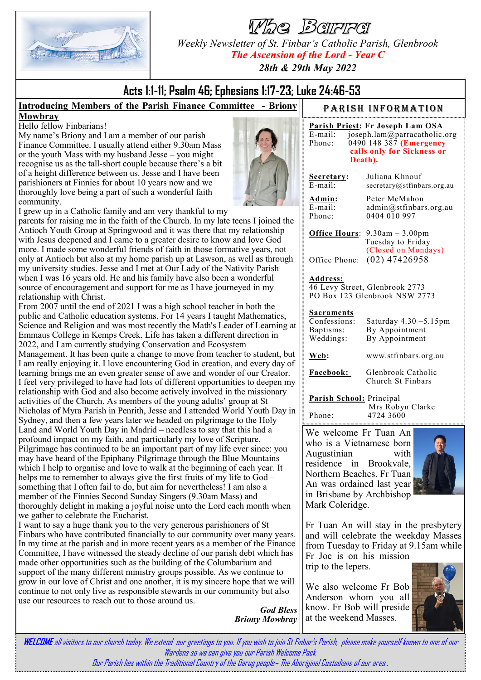

Whe Barre

*Weekly Newsletter of St. Finbar's Catholic Parish, Glenbrook The Ascension of the Lord - Year C*

*28th & 29th May 2022*

# **Acts 1:1-11; Psalm 46; Ephesians 1:17-23; Luke 24:46-53**

#### **Introducing Members of the Parish Finance Committee - Briony Mowbray**

Hello fellow Finbarians!

My name's Briony and I am a member of our parish Finance Committee. I usually attend either 9.30am Mass or the youth Mass with my husband Jesse – you might recognise us as the tall-short couple because there's a bit of a height difference between us. Jesse and I have been parishioners at Finnies for about 10 years now and we thoroughly love being a part of such a wonderful faith community.



I grew up in a Catholic family and am very thankful to my

parents for raising me in the faith of the Church. In my late teens I joined the Antioch Youth Group at Springwood and it was there that my relationship with Jesus deepened and I came to a greater desire to know and love God more. I made some wonderful friends of faith in those formative years, not only at Antioch but also at my home parish up at Lawson, as well as through my university studies. Jesse and I met at Our Lady of the Nativity Parish when I was 16 years old. He and his family have also been a wonderful source of encouragement and support for me as I have journeyed in my relationship with Christ.

From 2007 until the end of 2021 I was a high school teacher in both the public and Catholic education systems. For 14 years I taught Mathematics, Science and Religion and was most recently the Math's Leader of Learning at Emmaus College in Kemps Creek. Life has taken a different direction in 2022, and I am currently studying Conservation and Ecosystem Management. It has been quite a change to move from teacher to student, but I am really enjoying it. I love encountering God in creation, and every day of learning brings me an even greater sense of awe and wonder of our Creator. I feel very privileged to have had lots of different opportunities to deepen my relationship with God and also become actively involved in the missionary activities of the Church. As members of the young adults' group at St Nicholas of Myra Parish in Penrith, Jesse and I attended World Youth Day in Sydney, and then a few years later we headed on pilgrimage to the Holy Land and World Youth Day in Madrid – needless to say that this had a profound impact on my faith, and particularly my love of Scripture. Pilgrimage has continued to be an important part of my life ever since: you may have heard of the Epiphany Pilgrimage through the Blue Mountains which I help to organise and love to walk at the beginning of each year. It helps me to remember to always give the first fruits of my life to God – something that I often fail to do, but aim for nevertheless! I am also a member of the Finnies Second Sunday Singers (9.30am Mass) and thoroughly delight in making a joyful noise unto the Lord each month when we gather to celebrate the Eucharist.

I want to say a huge thank you to the very generous parishioners of St Finbars who have contributed financially to our community over many years. In my time at the parish and in more recent years as a member of the Finance Committee, I have witnessed the steady decline of our parish debt which has made other opportunities such as the building of the Columbarium and support of the many different ministry groups possible. As we continue to grow in our love of Christ and one another, it is my sincere hope that we will continue to not only live as responsible stewards in our community but also use our resources to reach out to those around us.

*God Bless Briony Mowbray*

PARISH INFORMATION

|         | Parish Priest: Fr Joseph Lam OSA |
|---------|----------------------------------|
| E-mail: | joseph.lam@parracatholic.org     |
| Phone:  | 0490 148 387 (Emergency          |
|         | calls only for Sickness or       |
|         | Death).                          |

| Secretary: |  |  |  |  |  |
|------------|--|--|--|--|--|
| E-mail:    |  |  |  |  |  |
|            |  |  |  |  |  |

**Secretary:** Juliana Khnouf secretary@stfinbars.org.au

| Admin:  |  |
|---------|--|
| E-mail: |  |
| Phone:  |  |

Peter McMahon admin@stfinbars.org.au 0404 010 997

**Office Hours**: 9.30am – 3.00pm

 Tuesday to Friday (Closed on Mondays) Office Phone: (02) 47426958

#### **Address:**

46 Levy Street, Glenbrook 2773 PO Box 123 Glenbrook NSW 2773

#### **Sacraments**

| Confessions:<br>Baptisms:<br>Weddings: | Saturday $4.30 - 5.15$ pm<br>By Appointment<br>By Appointment |
|----------------------------------------|---------------------------------------------------------------|
| Web:                                   | www.stfinbars.org.au                                          |
| Facebook:                              | Glenbrook Catholic<br>Church St Finbars                       |

**Parish School:** Principal Mrs Robyn Clarke Phone: 4724 3600

We welcome Fr Tuan An who is a Vietnamese born Augustinian with residence in Brookvale, Northern Beaches. Fr Tuan An was ordained last year in Brisbane by Archbishop Mark Coleridge.



Fr Tuan An will stay in the presbytery and will celebrate the weekday Masses from Tuesday to Friday at 9.15am while

Fr Joe is on his mission trip to the lepers.

We also welcome Fr Bob Anderson whom you all know. Fr Bob will preside at the weekend Masses.



**WELCOME** all visitors to our church today. We extend our greetings to you. If you wish to join St Finbar's Parish, please make yourself known to one of our Wardens so we can give you our Parish Welcome Pack. Our Parish lies within the Traditional Country of the Darug people– The Aboriginal Custodians of our area *.*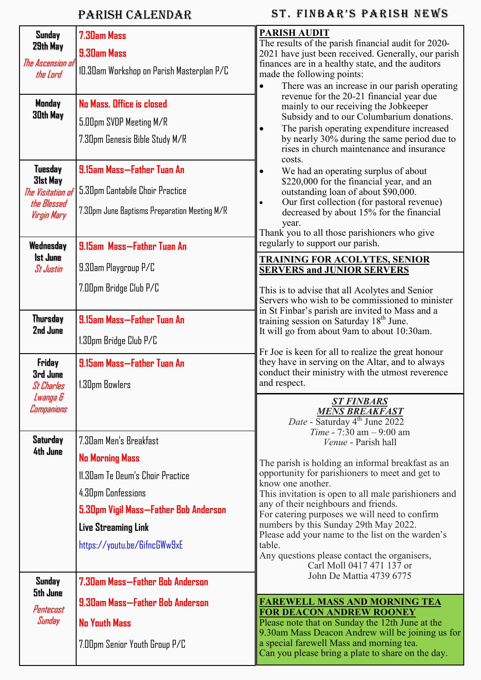## Parish Calendar

## ST. FINBAR'S PARISH NEWS

| Sunday<br>29th May                  | 7.30am Mass                                  | <b>PARISH AUDIT</b><br>The results of the parish financial audit for 2020-                                                                                                 |  |  |
|-------------------------------------|----------------------------------------------|----------------------------------------------------------------------------------------------------------------------------------------------------------------------------|--|--|
|                                     | 9.30am Mass                                  | 2021 have just been received. Generally, our parish                                                                                                                        |  |  |
| The Ascension of<br>the Lord        | 10.30am Workshop on Parish Masterplan P/C    | finances are in a healthy state, and the auditors<br>made the following points:<br>There was an increase in our parish operating<br>$\bullet$                              |  |  |
| Monday                              | No Mass. Office is closed                    | revenue for the 20-21 financial year due<br>mainly to our receiving the Jobkeeper                                                                                          |  |  |
| 30th May                            | 5.00pm SVDP Meeting M/R                      | Subsidy and to our Columbarium donations.                                                                                                                                  |  |  |
|                                     | 7.30pm Genesis Bible Study M/R               | The parish operating expenditure increased<br>by nearly 30% during the same period due to<br>rises in church maintenance and insurance<br>costs.                           |  |  |
| Tuesday                             | 9.15am Mass-Father Tuan An                   | We had an operating surplus of about<br>$\bullet$                                                                                                                          |  |  |
| 31st May<br>The Visitation of       | 5.30pm Cantabile Choir Practice              | \$220,000 for the financial year, and an<br>outstanding loan of about \$90,000.<br>Our first collection (for pastoral revenue)<br>decreased by about 15% for the financial |  |  |
| the Blessed<br>Virgin Mary          | 7.30pm June Baptisms Preparation Meeting M/R |                                                                                                                                                                            |  |  |
|                                     |                                              | year.<br>Thank you to all those parishioners who give                                                                                                                      |  |  |
| Wednesday                           | 9.15am Mass-Father Tuan An                   | regularly to support our parish.                                                                                                                                           |  |  |
| <b>1st June</b><br><b>St Justin</b> | 9.30am Playgroup P/C                         | <b>TRAINING FOR ACOLYTES, SENIOR</b><br><b>SERVERS and JUNIOR SERVERS</b>                                                                                                  |  |  |
|                                     | 7.00pm Bridge Club P/C                       | This is to advise that all Acolytes and Senior                                                                                                                             |  |  |
|                                     |                                              | Servers who wish to be commissioned to minister<br>in St Finbar's parish are invited to Mass and a                                                                         |  |  |
| <b>Thursday</b>                     | 9.15am Mass-Father Tuan An                   | training session on Saturday 18 <sup>th</sup> June.                                                                                                                        |  |  |
| 2nd June                            | 1.30pm Bridge Club P/C                       | It will go from about 9am to about 10:30am.                                                                                                                                |  |  |
| Friday                              | 9.15am Mass-Father Tuan An                   | Fr Joe is keen for all to realize the great honour<br>they have in serving on the Altar, and to always                                                                     |  |  |
| 3rd June<br><b>St Charles</b>       | 1.30pm Bowlers                               | conduct their ministry with the utmost reverence<br>and respect.                                                                                                           |  |  |
| Lwanga &                            |                                              | <u>ST FINBARS</u>                                                                                                                                                          |  |  |
| Companions                          |                                              | <b>MENS BREAKFAST</b><br>Date - Saturday 4 <sup>th</sup> June 2022                                                                                                         |  |  |
|                                     |                                              | Time - 7:30 am - 9:00 am                                                                                                                                                   |  |  |
| Saturday<br>4th June                | 7.30am Men's Breakfast                       | <i>Venue</i> - Parish hall                                                                                                                                                 |  |  |
|                                     | <b>No Morning Mass</b>                       | The parish is holding an informal breakfast as an                                                                                                                          |  |  |
|                                     | 11.30am Te Deum's Choir Practice             | opportunity for parishioners to meet and get to<br>know one another.                                                                                                       |  |  |
|                                     | 4.30pm Confessions                           | This invitation is open to all male parishioners and                                                                                                                       |  |  |
|                                     | 5.30pm Vigil Mass-Father Bob Anderson        | any of their neighbours and friends.<br>For catering purposes we will need to confirm                                                                                      |  |  |
|                                     | <b>Live Streaming Link</b>                   | numbers by this Sunday 29th May 2022.<br>Please add your name to the list on the warden's                                                                                  |  |  |
|                                     | https://youtu.be/6ifncGWw9xE                 | table.<br>Any questions please contact the organisers,                                                                                                                     |  |  |
|                                     |                                              | Carl Moll 0417 471 137 or                                                                                                                                                  |  |  |
| Sunday<br>5th June                  | 7.30am Mass—Father Bob Anderson              | John De Mattia 4739 6775                                                                                                                                                   |  |  |
| Pentecost                           | 9.30am Mass—Father Bob Anderson              | <b>FAREWELL MASS AND MORNING TEA</b><br><b>FOR DEACON ANDREW ROONEY</b>                                                                                                    |  |  |
| Sunday                              | <b>No Youth Mass</b>                         | Please note that on Sunday the 12th June at the                                                                                                                            |  |  |
|                                     | 7.00pm Senior Youth Group P/C                | 9.30am Mass Deacon Andrew will be joining us for<br>a special farewell Mass and morning tea.                                                                               |  |  |
|                                     |                                              | Can you please bring a plate to share on the day.                                                                                                                          |  |  |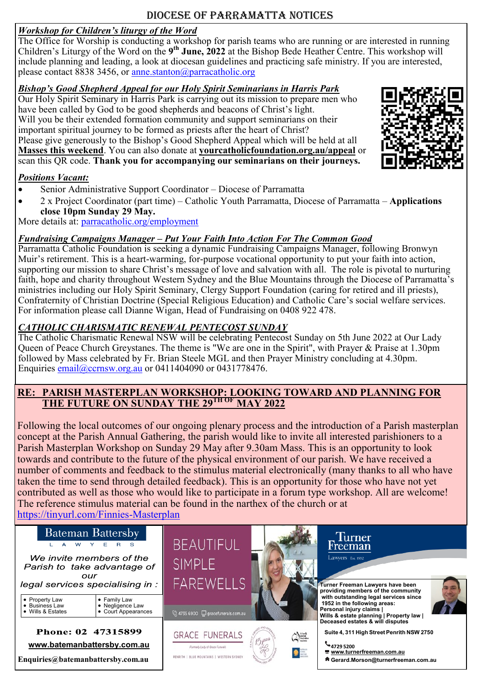## Diocese of Parramatta Notices

#### *Workshop for Children's liturgy of the Word*

The Office for Worship is conducting a workshop for parish teams who are running or are interested in running Children's Liturgy of the Word on the 9<sup>th</sup> June, 2022 at the Bishop Bede Heather Centre. This workshop will include planning and leading, a look at diocesan guidelines and practicing safe ministry. If you are interested, please contact 8838 3456, or [anne.stanton@parracatholic.org](mailto:anne.stanton@parracatholic.org)

#### *Bishop's Good Shepherd Appeal for our Holy Spirit Seminarians in Harris Park*

Our Holy Spirit Seminary in Harris Park is carrying out its mission to prepare men who have been called by God to be good shepherds and beacons of Christ's light. Will you be their extended formation community and support seminarians on their important spiritual journey to be formed as priests after the heart of Christ? Please give generously to the Bishop's Good Shepherd Appeal which will be held at all **Masses this weekend**. You can also donate at **yourcatholicfoundation.org.au/appeal** or scan this QR code. **Thank you for accompanying our seminarians on their journeys.**

#### *Positions Vacant:*

- Senior Administrative Support Coordinator Diocese of Parramatta
- 2 x Project Coordinator (part time) Catholic Youth Parramatta, Diocese of Parramatta **Applications close 10pm Sunday 29 May.**

More details at: [parracatholic.org/employment](http://parracatholic.org/employment)

#### *Fundraising Campaigns Manager – Put Your Faith Into Action For The Common Good*

Parramatta Catholic Foundation is seeking a dynamic Fundraising Campaigns Manager, following Bronwyn Muir's retirement. This is a heart-warming, for-purpose vocational opportunity to put your faith into action, supporting our mission to share Christ's message of love and salvation with all. The role is pivotal to nurturing faith, hope and charity throughout Western Sydney and the Blue Mountains through the Diocese of Parramatta's ministries including our Holy Spirit Seminary, Clergy Support Foundation (caring for retired and ill priests), Confraternity of Christian Doctrine (Special Religious Education) and Catholic Care's social welfare services. For information please call Dianne Wigan, Head of Fundraising on 0408 922 478.

#### *CATHOLIC CHARISMATIC RENEWAL PENTECOST SUNDAY*

The Catholic Charismatic Renewal NSW will be celebrating Pentecost Sunday on 5th June 2022 at Our Lady Queen of Peace Church Greystanes. The theme is "We are one in the Spirit", with Prayer & Praise at 1.30pm followed by Mass celebrated by Fr. Brian Steele MGL and then Prayer Ministry concluding at 4.30pm. Enquiries  $email@ccrnsw.org.au$  or 0411404090 or 0431778476.

#### **RE: PARISH MASTERPLAN WORKSHOP: LOOKING TOWARD AND PLANNING FOR THE FUTURE ON SUNDAY THE 29TH OF MAY 2022**

Following the local outcomes of our ongoing plenary process and the introduction of a Parish masterplan concept at the Parish Annual Gathering, the parish would like to invite all interested parishioners to a Parish Masterplan Workshop on Sunday 29 May after 9.30am Mass. This is an opportunity to look towards and contribute to the future of the physical environment of our parish. We have received a number of comments and feedback to the stimulus material electronically (many thanks to all who have taken the time to send through detailed feedback). This is an opportunity for those who have not yet contributed as well as those who would like to participate in a forum type workshop. All are welcome! The reference stimulus material can be found in the narthex of the church or at [https://tinyurl.com/Finnies](https://tinyurl.com/Finnies-Masterplan)-Masterplan